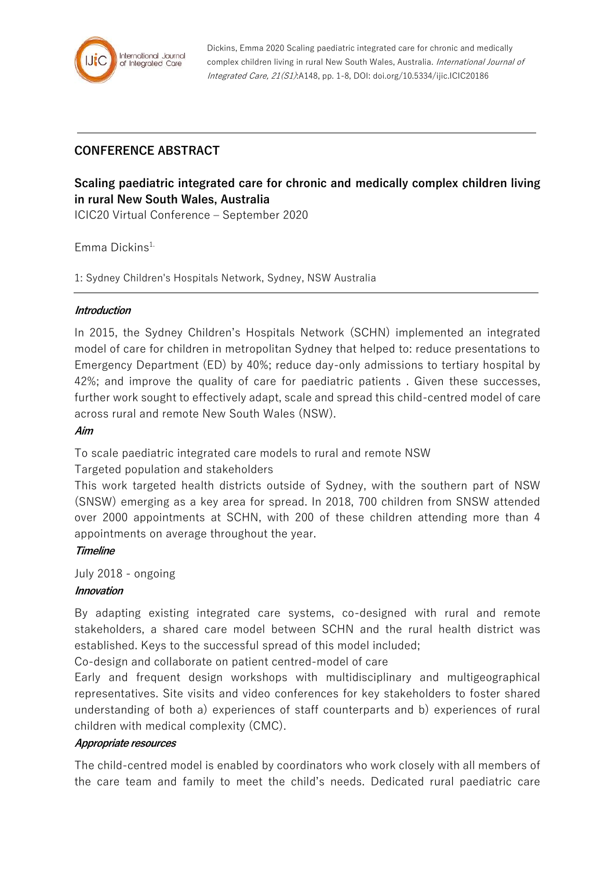

Dickins, Emma 2020 Scaling paediatric integrated care for chronic and medically complex children living in rural New South Wales, Australia. International Journal of Integrated Care, 21(S1):A148, pp. 1-8, DOI: doi.org/10.5334/ijic.ICIC20186

# **CONFERENCE ABSTRACT**

# **Scaling paediatric integrated care for chronic and medically complex children living in rural New South Wales, Australia**

ICIC20 Virtual Conference – September 2020

Emma Dickins1.

1: Sydney Children's Hospitals Network, Sydney, NSW Australia

#### **Introduction**

In 2015, the Sydney Children's Hospitals Network (SCHN) implemented an integrated model of care for children in metropolitan Sydney that helped to: reduce presentations to Emergency Department (ED) by 40%; reduce day-only admissions to tertiary hospital by 42%; and improve the quality of care for paediatric patients . Given these successes, further work sought to effectively adapt, scale and spread this child-centred model of care across rural and remote New South Wales (NSW).

#### **Aim**

To scale paediatric integrated care models to rural and remote NSW

Targeted population and stakeholders

This work targeted health districts outside of Sydney, with the southern part of NSW (SNSW) emerging as a key area for spread. In 2018, 700 children from SNSW attended over 2000 appointments at SCHN, with 200 of these children attending more than 4 appointments on average throughout the year.

#### **Timeline**

July 2018 - ongoing

#### **Innovation**

By adapting existing integrated care systems, co-designed with rural and remote stakeholders, a shared care model between SCHN and the rural health district was established. Keys to the successful spread of this model included;

Co-design and collaborate on patient centred-model of care

Early and frequent design workshops with multidisciplinary and multigeographical representatives. Site visits and video conferences for key stakeholders to foster shared understanding of both a) experiences of staff counterparts and b) experiences of rural children with medical complexity (CMC).

#### **Appropriate resources**

The child-centred model is enabled by coordinators who work closely with all members of the care team and family to meet the child's needs. Dedicated rural paediatric care